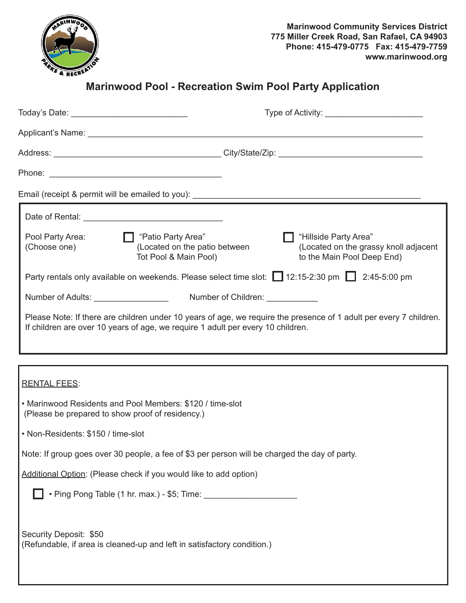

# **Marinwood Pool - Recreation Swim Pool Party Application**

|                                                                                                                                                                                                       | Type of Activity:                                                                            |  |
|-------------------------------------------------------------------------------------------------------------------------------------------------------------------------------------------------------|----------------------------------------------------------------------------------------------|--|
|                                                                                                                                                                                                       |                                                                                              |  |
|                                                                                                                                                                                                       |                                                                                              |  |
|                                                                                                                                                                                                       |                                                                                              |  |
|                                                                                                                                                                                                       |                                                                                              |  |
|                                                                                                                                                                                                       |                                                                                              |  |
| □ "Patio Party Area"<br>Pool Party Area:<br>(Located on the patio between<br>(Choose one)<br>Tot Pool & Main Pool)                                                                                    | "Hillside Party Area"<br>(Located on the grassy knoll adjacent<br>to the Main Pool Deep End) |  |
| Party rentals only available on weekends. Please select time slot: 12:15-2:30 pm 1 2:45-5:00 pm                                                                                                       |                                                                                              |  |
| Number of Adults: __________________                                                                                                                                                                  | Number of Children: ____________                                                             |  |
| Please Note: If there are children under 10 years of age, we require the presence of 1 adult per every 7 children.<br>If children are over 10 years of age, we require 1 adult per every 10 children. |                                                                                              |  |
|                                                                                                                                                                                                       |                                                                                              |  |
| <b>RENTAL FEES:</b>                                                                                                                                                                                   |                                                                                              |  |
| • Marinwood Residents and Pool Members: \$120 / time-slot<br>(Please be prepared to show proof of residency.)                                                                                         |                                                                                              |  |
| • Non-Residents: \$150 / time-slot                                                                                                                                                                    |                                                                                              |  |
| Note: If group goes over 30 people, a fee of \$3 per person will be charged the day of party.                                                                                                         |                                                                                              |  |
| Additional Option: (Please check if you would like to add option)                                                                                                                                     |                                                                                              |  |
|                                                                                                                                                                                                       |                                                                                              |  |
| Security Deposit: \$50<br>(Refundable, if area is cleaned-up and left in satisfactory condition.)                                                                                                     |                                                                                              |  |